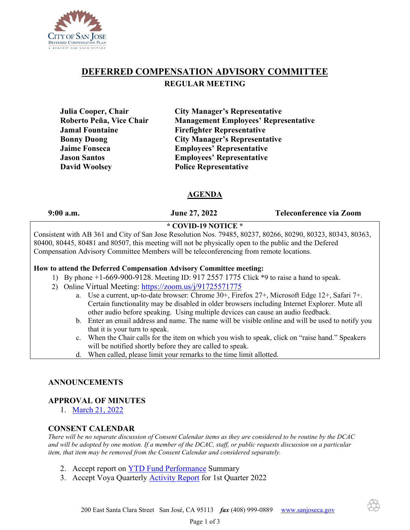

# **DEFERRED COMPENSATION ADVISORY COMMITTEE REGULAR MEETING**

**Julia Cooper, Chair City Manager's Representative Roberto Peña, Vice Chair Management Employees' Representative Jamal Fountaine Firefighter Representative Bonny Duong City Manager's Representative Jaime Fonseca Employees' Representative Jason Santos Employees' Representative David Woolsey Police Representative** 

# **AGENDA**

**9:00 a.m. June 27, 2022 Teleconference via Zoom**

# **\* COVID-19 NOTICE \***

Consistent with AB 361 and City of San Jose Resolution Nos. 79485, 80237, 80266, 80290, 80323, 80343, 80363, 80400, 80445, 80481 and 80507, this meeting will not be physically open to the public and the Defered Compensation Advisory Committee Members will be teleconferencing from remote locations.

### **How to attend the Deferred Compensation Advisory Committee meeting:**

- 1) By phone +1-669-900-9128. Meeting ID: 917 2557 1775 Click \*9 to raise a hand to speak.
- 2) Online Virtual Meeting:<https://zoom.us/j/91725571775>
	- a. Use a current, up-to-date browser: Chrome 30+, Firefox 27+, Microsoft Edge 12+, Safari 7+. Certain functionality may be disabled in older browsers including Internet Explorer. Mute all other audio before speaking. Using multiple devices can cause an audio feedback.
	- b. Enter an email address and name. The name will be visible online and will be used to notify you that it is your turn to speak.
	- c. When the Chair calls for the item on which you wish to speak, click on "raise hand." Speakers will be notified shortly before they are called to speak.
	- d. When called, please limit your remarks to the time limit allotted.

### **ANNOUNCEMENTS**

#### **APPROVAL OF MINUTES**

1. [March](https://www.sanjoseca.gov/home/showpublisheddocument/83636/637837253014130000) 21, 2022

#### **CONSENT CALENDAR**

*There will be no separate discussion of Consent Calendar items as they are considered to be routine by the DCAC and will be adopted by one motion. If a member of the DCAC, staff, or public requests discussion on a particular item, that item may be removed from the Consent Calendar and considered separately.*

- 2. Accept report on [YTD Fund Performance](https://www.sanjoseca.gov/home/showdocument?id=87089&t=637908897828134358) Summary
- 3. Accept Voya Quarterly [Activity Report](https://www.sanjoseca.gov/home/showdocument?id=87091&t=637908897834227709) for 1st Quarter 2022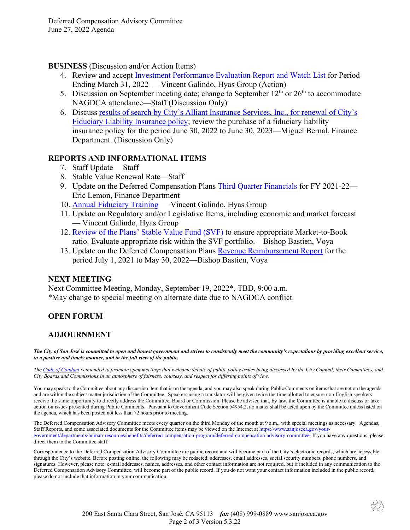**BUSINESS** (Discussion and/or Action Items)

- 4. Review and accept [Investment Performance Evaluation Report](https://www.sanjoseca.gov/home/showdocument?id=87093&t=637908897843915294) and Watch List for Period Ending March 31, 2022 — Vincent Galindo, Hyas Group (Action)
- 5. Discussion on September meeting date; change to September  $12<sup>th</sup>$  or  $26<sup>th</sup>$  to accommodate NAGDCA attendance—Staff (Discussion Only)
- 6. Discuss [results of search by City's Alliant Insurance Services, Inc., for renewal of City's](https://www.sanjoseca.gov/home/showdocument?id=87095&t=637908897849853364)  [Fiduciary Liability Insurance policy;](https://www.sanjoseca.gov/home/showdocument?id=87095&t=637908897849853364) review the purchase of a fiduciary liability insurance policy for the period June 30, 2022 to June 30, 2023—Miguel Bernal, Finance Department. (Discussion Only)

# **REPORTS AND INFORMATIONAL ITEMS**

- 7. Staff Update —Staff
- 8. Stable Value Renewal Rate—Staff
- 9. Update on the Deferred Compensation Plans Third [Quarter Financials](https://www.sanjoseca.gov/home/showdocument?id=87081&t=637908897808133660) for FY 2021-22— Eric Lemon, Finance Department
- 10. **[Annual Fiduciary Training](https://www.sanjoseca.gov/home/showdocument?id=87083&t=637908897812821214)** Vincent Galindo, Hyas Group
- 11. Update on Regulatory and/or Legislative Items, including economic and market forecast — Vincent Galindo, Hyas Group
- 12. [Review of the Plans' Stable Value Fund \(SVF\)](https://www.sanjoseca.gov/home/showdocument?id=87085&t=637908897819384407) to ensure appropriate Market-to-Book ratio. Evaluate appropriate risk within the SVF portfolio.—Bishop Bastien, Voya
- 13. Update on the Deferred Compensation Plans [Revenue Reimbursement Report](https://www.sanjoseca.gov/home/showdocument?id=87087&t=637908897823915068) for the period July 1, 2021 to May 30, 2022—Bishop Bastien, Voya

### **NEXT MEETING**

Next Committee Meeting, Monday, September 19, 2022\*, TBD, 9:00 a.m. \*May change to special meeting on alternate date due to NAGDCA conflict.

# **OPEN FORUM**

### **ADJOURNMENT**

*The City of San José is committed to open and honest government and strives to consistently meet the community's expectations by providing excellent service, in a positive and timely manner, and in the full view of the public.*

*The [Code of Conduct](https://www.sanjoseca.gov/home/showpublisheddocument/12901/636670004966630000) is intended to promote open meetings that welcome debate of public policy issues being discussed by the City Council, their Committees, and City Boards and Commissions in an atmosphere of fairness, courtesy, and respect for differing points of view.*

You may speak to the Committee about any discussion item that is on the agenda, and you may also speak during Public Comments on items that are not on the agenda and are within the subject matter jurisdiction of the Committee. Speakers using a translator will be given twice the time allotted to ensure non-English speakers receive the same opportunity to directly address the Committee, Board or Commission. Please be advised that, by law, the Committee is unable to discuss or take action on issues presented during Public Comments. Pursuant to Government Code Section 54954.2, no matter shall be acted upon by the Committee unless listed on the agenda, which has been posted not less than 72 hours prior to meeting.

The Deferred Compensation Advisory Committee meets every quarter on the third Monday of the month at 9 a.m., with special meetings as necessary. Agendas, Staff Reports, and some associated documents for the Committee items may be viewed on the Internet a[t https://www.sanjoseca.gov/your](https://www.sanjoseca.gov/your-government/departments/human-resources/benefits/deferred-compensation-program/deferred-compensation-advisory-committee)[government/departments/human-resources/benefits/deferred-compensation-program/deferred-compensation-advisory-committee.](https://www.sanjoseca.gov/your-government/departments/human-resources/benefits/deferred-compensation-program/deferred-compensation-advisory-committee) If you have any questions, please direct them to the Committee staff.

Correspondence to the Deferred Compensation Advisory Committee are public record and will become part of the City's electronic records, which are accessible through the City's website. Before posting online, the following may be redacted: addresses, email addresses, social security numbers, phone numbers, and signatures. However, please note: e-mail addresses, names, addresses, and other contact information are not required, but if included in any communication to the Deferred Compensation Advisory Committee, will become part of the public record. If you do not want your contact information included in the public record, please do not include that information in your communication.